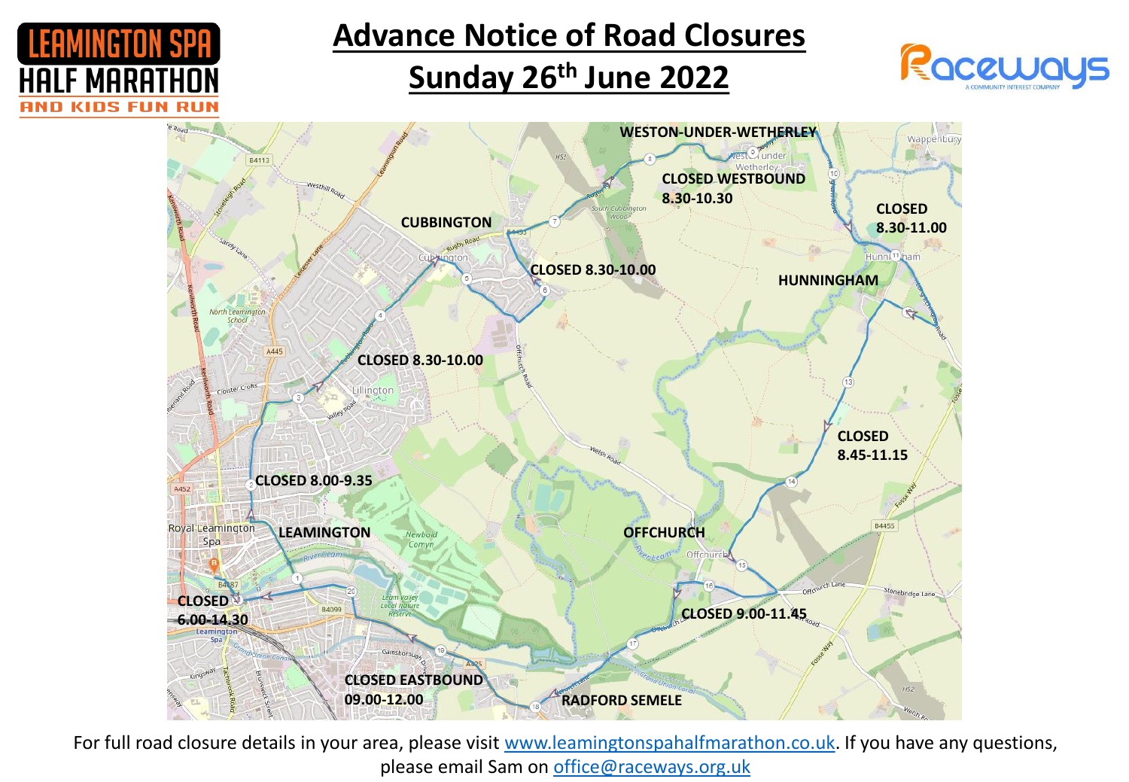

**Advance Notice of Road Closures**

## **Sunday 26th June 2022**





For full road closure details in your area, please visit [www.leamingtonspahalfmarathon.co.uk](http://www.leamingtonspahalfmarathon.co.uk/). If you have any questions, please email Sam on [office@raceways.org.uk](mailto:office@raceways.org.uk)